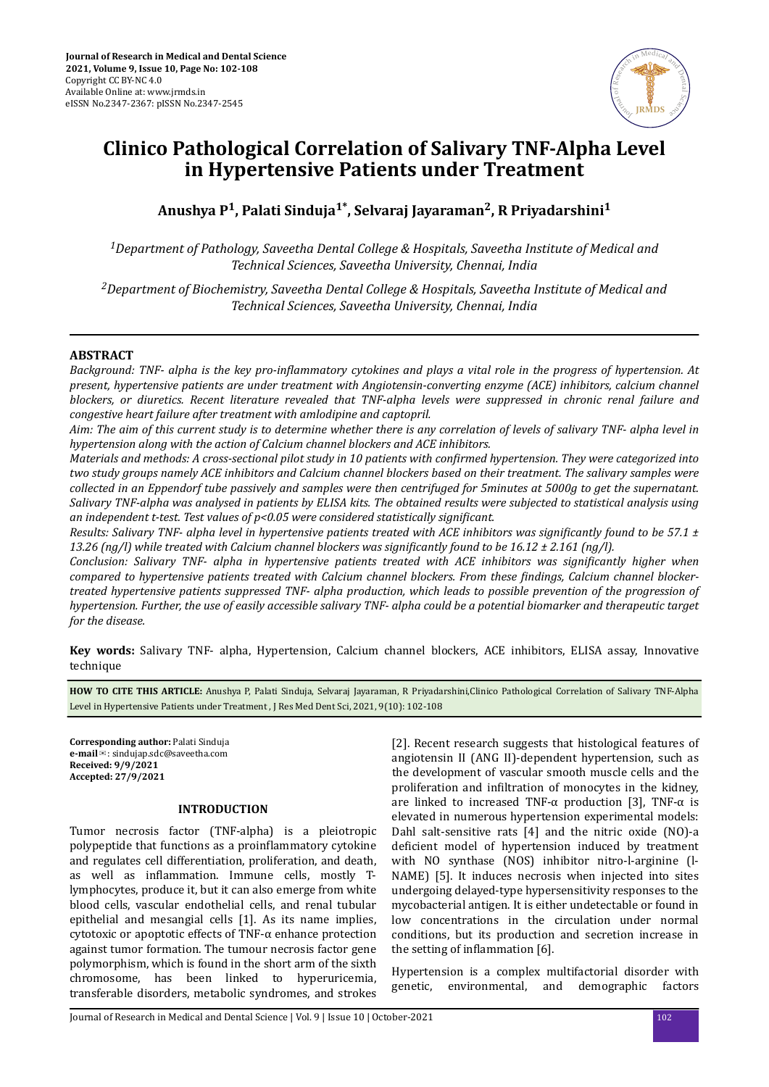

# **Clinico Pathological Correlation of Salivary TNF-Alpha Level in Hypertensive Patients under Treatment**

**Anushya P<sup>1</sup> , Palati Sinduja1\*, Selvaraj Jayaraman<sup>2</sup> , R Priyadarshini<sup>1</sup>**

*<sup>1</sup>Department of Pathology, Saveetha Dental College & Hospitals, Saveetha Institute of Medical and Technical Sciences, Saveetha University, Chennai, India*

*<sup>2</sup>Department of Biochemistry, Saveetha Dental College & Hospitals, Saveetha Institute of Medical and Technical Sciences, Saveetha University, Chennai, India*

## **ABSTRACT**

*Background: TNF- alpha is the key pro-inflammatory cytokines and plays a vital role in the progress of hypertension. At present, hypertensive patients are under treatment with Angiotensin-converting enzyme (ACE) inhibitors, calcium channel blockers, or diuretics. Recent literature revealed that TNF-alpha levels were suppressed in chronic renal failure and congestive heart failure after treatment with amlodipine and captopril.*

*Aim: The aim of this current study is to determine whether there is any correlation of levels of salivary TNF- alpha level in hypertension along with the action of Calcium channel blockers and ACE inhibitors.*

*Materials and methods: A cross-sectional pilot study in 10 patients with confirmed hypertension. They were categorized into two study groups namely ACE inhibitors and Calcium channel blockers based on their treatment. The salivary samples were collected in an Eppendorf tube passively and samples were then centrifuged for 5minutes at 5000g to get the supernatant. Salivary TNF-alpha was analysed in patients by ELISA kits. The obtained results were subjected to statistical analysis using an independent t-test. Test values of p<0.05 were considered statistically significant.* 

*Results: Salivary TNF- alpha level in hypertensive patients treated with ACE inhibitors was significantly found to be 57.1 ±* 13.26 (ng/l) while treated with Calcium channel blockers was significantly found to be 16.12 ± 2.161 (ng/l).

*Conclusion: Salivary TNF- alpha in hypertensive patients treated with ACE inhibitors was significantly higher when compared to hypertensive patients treated with Calcium channel blockers. From these findings, Calcium channel blockertreated hypertensive patients suppressed TNF- alpha production, which leads to possible prevention of the progression of hypertension. Further, the use of easily accessible salivary TNF- alpha could be a potential biomarker and therapeutic target for the disease.*

**Key words:** Salivary TNF- alpha, Hypertension, Calcium channel blockers, ACE inhibitors, ELISA assay, Innovative technique

**HOW TO CITE THIS ARTICLE:** Anushya P, Palati Sinduja, Selvaraj Jayaraman, R Priyadarshini,Clinico Pathological Correlation of Salivary TNF-Alpha Level in Hypertensive Patients under Treatment , J Res Med Dent Sci, 2021, 9(10): 102-108

**Corresponding author:** Palati Sinduja **e-mail**✉: sindujap.sdc@saveetha.com **Received: 9/9/2021 Accepted: 27/9/2021** 

#### **INTRODUCTION**

Tumor necrosis factor (TNF-alpha) is a pleiotropic polypeptide that functions as a proinflammatory cytokine and regulates cell differentiation, proliferation, and death, as well as inflammation. Immune cells, mostly Tlymphocytes, produce it, but it can also emerge from white blood cells, vascular endothelial cells, and renal tubular epithelial and mesangial cells [1]. As its name implies, cytotoxic or apoptotic effects of TNF-α enhance protection against tumor formation. The tumour necrosis factor gene polymorphism, which is found in the short arm of the sixth chromosome, has been linked to hyperuricemia, transferable disorders, metabolic syndromes, and strokes

[2]. Recent research suggests that histological features of angiotensin II (ANG II)-dependent hypertension, such as the development of vascular smooth muscle cells and the proliferation and infiltration of monocytes in the kidney, are linked to increased TNF- $\alpha$  production [3], TNF- $\alpha$  is elevated in numerous hypertension experimental models: Dahl salt-sensitive rats [4] and the nitric oxide (NO)-a deficient model of hypertension induced by treatment with NO synthase (NOS) inhibitor nitro-l-arginine (l-NAME) [5]. It induces necrosis when injected into sites undergoing delayed-type hypersensitivity responses to the mycobacterial antigen. It is either undetectable or found in low concentrations in the circulation under normal conditions, but its production and secretion increase in the setting of inflammation  $[6]$ .

Hypertension is a complex multifactorial disorder with genetic, environmental, and demographic factors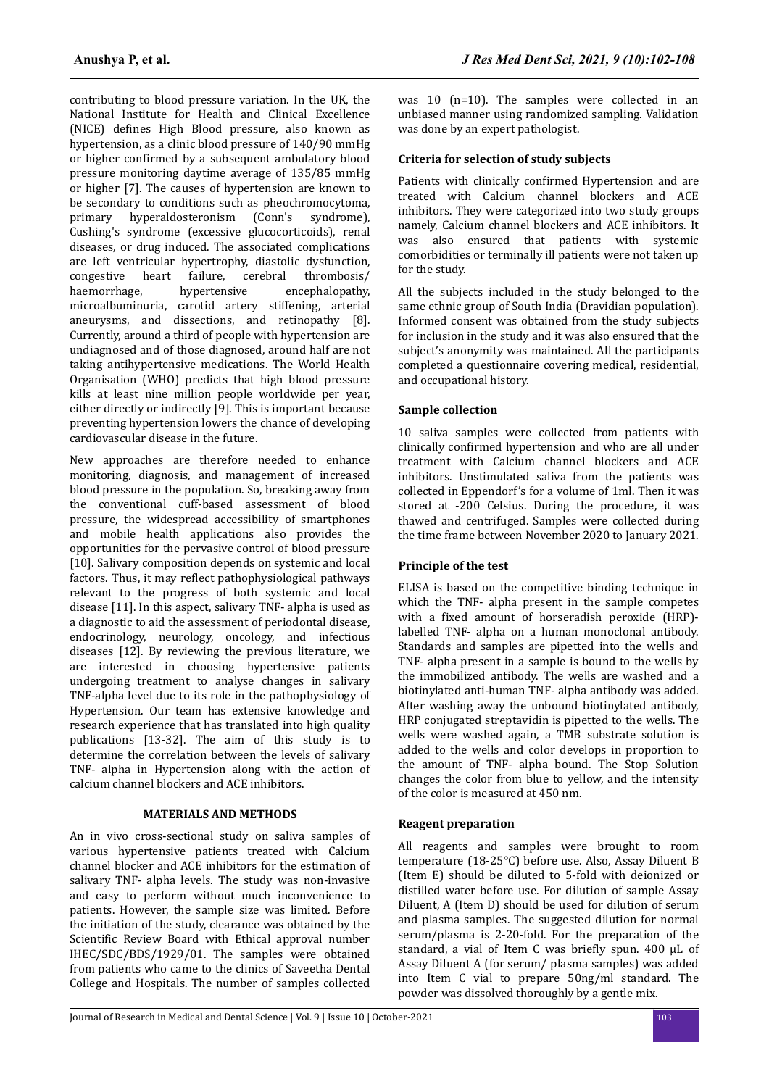contributing to blood pressure variation. In the UK, the National Institute for Health and Clinical Excellence (NICE) defines High Blood pressure, also known as hypertension, as a clinic blood pressure of 140/90 mmHg or higher confirmed by a subsequent ambulatory blood pressure monitoring daytime average of 135/85 mmHg or higher [7]. The causes of hypertension are known to be secondary to conditions such as pheochromocytoma, primary hyperaldosteronism (Conn's syndrome), Cushing's syndrome (excessive glucocorticoids), renal diseases, or drug induced. The associated complications are left ventricular hypertrophy, diastolic dysfunction, congestive heart failure, cerebral thrombosis/ haemorrhage, hypertensive encephalopathy, microalbuminuria, carotid artery stiffening, arterial aneurysms, and dissections, and retinopathy [8]. Currently, around a third of people with hypertension are undiagnosed and of those diagnosed, around half are not taking antihypertensive medications. The World Health Organisation (WHO) predicts that high blood pressure kills at least nine million people worldwide per year, either directly or indirectly [9]. This is important because preventing hypertension lowers the chance of developing cardiovascular disease in the future.

New approaches are therefore needed to enhance monitoring, diagnosis, and management of increased blood pressure in the population. So, breaking away from the conventional cuff-based assessment of blood pressure, the widespread accessibility of smartphones and mobile health applications also provides the opportunities for the pervasive control of blood pressure [10]. Salivary composition depends on systemic and local factors. Thus, it may reflect pathophysiological pathways relevant to the progress of both systemic and local disease [11]. In this aspect, salivary TNF- alpha is used as a diagnostic to aid the assessment of periodontal disease, endocrinology, neurology, oncology, and infectious diseases [12]. By reviewing the previous literature, we are interested in choosing hypertensive patients undergoing treatment to analyse changes in salivary TNF-alpha level due to its role in the pathophysiology of Hypertension. Our team has extensive knowledge and research experience that has translated into high quality publications [13-32]. The aim of this study is to determine the correlation between the levels of salivary TNF- alpha in Hypertension along with the action of calcium channel blockers and ACE inhibitors.

# **MATERIALS AND METHODS**

An in vivo cross-sectional study on saliva samples of various hypertensive patients treated with Calcium channel blocker and ACE inhibitors for the estimation of salivary TNF- alpha levels. The study was non-invasive and easy to perform without much inconvenience to patients. However, the sample size was limited. Before the initiation of the study, clearance was obtained by the Scientific Review Board with Ethical approval number IHEC/SDC/BDS/1929/01. The samples were obtained from patients who came to the clinics of Saveetha Dental College and Hospitals. The number of samples collected

was 10 (n=10). The samples were collected in an unbiased manner using randomized sampling. Validation was done by an expert pathologist.

## **Criteria for selection of study subjects**

Patients with clinically confirmed Hypertension and are treated with Calcium channel blockers and ACE inhibitors. They were categorized into two study groups namely, Calcium channel blockers and ACE inhibitors. It was also ensured that patients with systemic comorbidities or terminally ill patients were not taken up for the study.

All the subjects included in the study belonged to the same ethnic group of South India (Dravidian population). Informed consent was obtained from the study subjects for inclusion in the study and it was also ensured that the subject's anonymity was maintained. All the participants completed a questionnaire covering medical, residential, and occupational history.

## **Sample collection**

10 saliva samples were collected from patients with clinically confirmed hypertension and who are all under treatment with Calcium channel blockers and ACE inhibitors. Unstimulated saliva from the patients was collected in Eppendorf's for a volume of 1ml. Then it was stored at -200 Celsius. During the procedure, it was thawed and centrifuged. Samples were collected during the time frame between November 2020 to January 2021.

## **Principle of the test**

ELISA is based on the competitive binding technique in which the TNF- alpha present in the sample competes with a fixed amount of horseradish peroxide (HRP)labelled TNF- alpha on a human monoclonal antibody. Standards and samples are pipetted into the wells and TNF- alpha present in a sample is bound to the wells by the immobilized antibody. The wells are washed and a biotinylated anti-human TNF- alpha antibody was added. After washing away the unbound biotinylated antibody, HRP conjugated streptavidin is pipetted to the wells. The wells were washed again, a TMB substrate solution is added to the wells and color develops in proportion to the amount of TNF- alpha bound. The Stop Solution changes the color from blue to yellow, and the intensity of the color is measured at 450 nm.

## **Reagent preparation**

All reagents and samples were brought to room temperature (18-25°C) before use. Also, Assay Diluent B (Item E) should be diluted to 5-fold with deionized or distilled water before use. For dilution of sample Assay Diluent, A (Item D) should be used for dilution of serum and plasma samples. The suggested dilution for normal serum/plasma is 2-20-fold. For the preparation of the standard, a vial of Item C was briefly spun. 400 μL of Assay Diluent A (for serum/ plasma samples) was added into Item C vial to prepare 50ng/ml standard. The powder was dissolved thoroughly by a gentle mix.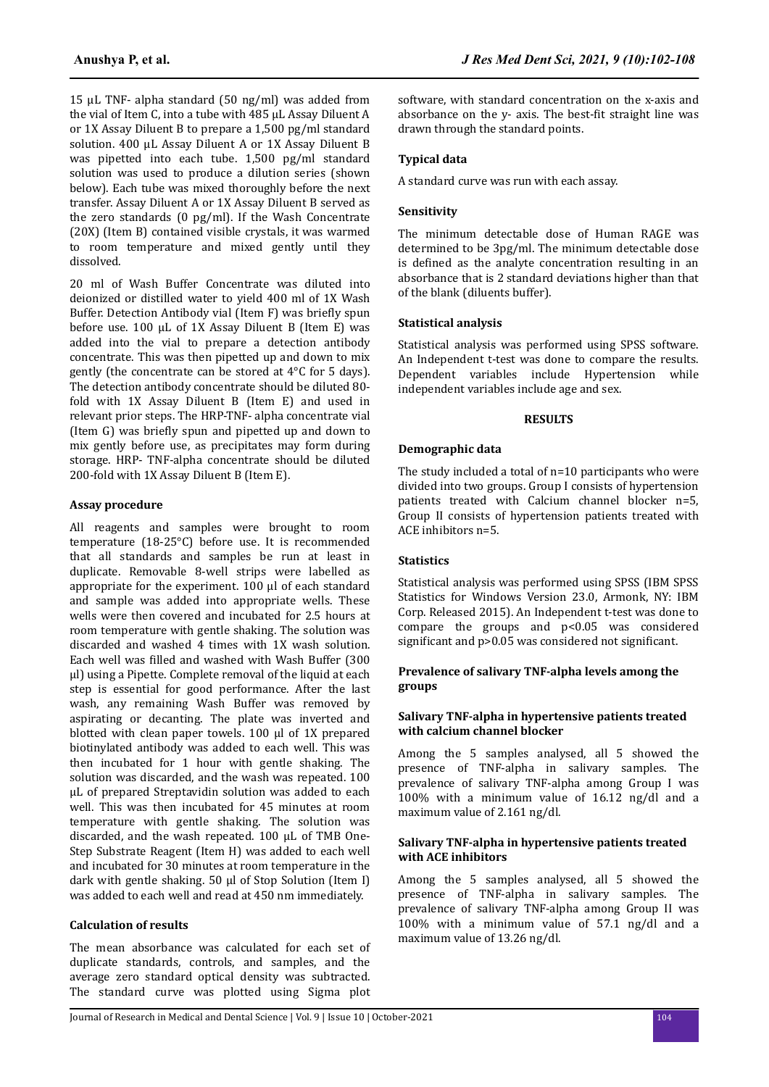15 μL TNF- alpha standard (50 ng/ml) was added from the vial of Item C, into a tube with 485 μL Assay Diluent A or 1X Assay Diluent B to prepare a 1,500 pg/ml standard solution. 400 μL Assay Diluent A or 1X Assay Diluent B was pipetted into each tube. 1,500 pg/ml standard solution was used to produce a dilution series (shown below). Each tube was mixed thoroughly before the next transfer. Assay Diluent A or 1X Assay Diluent B served as the zero standards (0 pg/ml). If the Wash Concentrate (20X) (Item B) contained visible crystals, it was warmed to room temperature and mixed gently until they dissolved.

20 ml of Wash Buffer Concentrate was diluted into deionized or distilled water to yield 400 ml of 1X Wash Buffer. Detection Antibody vial (Item F) was briefly spun before use. 100 μL of 1X Assay Diluent B (Item E) was added into the vial to prepare a detection antibody concentrate. This was then pipetted up and down to mix gently (the concentrate can be stored at 4°C for 5 days). The detection antibody concentrate should be diluted 80 fold with 1X Assay Diluent B (Item E) and used in relevant prior steps. The HRP-TNF- alpha concentrate vial (Item  $G$ ) was briefly spun and pipetted up and down to mix gently before use, as precipitates may form during storage. HRP- TNF-alpha concentrate should be diluted 200-fold with 1X Assay Diluent B (Item E).

### **Assay procedure**

All reagents and samples were brought to room temperature (18-25°C) before use. It is recommended that all standards and samples be run at least in duplicate. Removable 8-well strips were labelled as appropriate for the experiment. 100 μl of each standard and sample was added into appropriate wells. These wells were then covered and incubated for 2.5 hours at room temperature with gentle shaking. The solution was discarded and washed 4 times with 1X wash solution. Each well was filled and washed with Wash Buffer (300 μl) using a Pipette. Complete removal of the liquid at each step is essential for good performance. After the last wash, any remaining Wash Buffer was removed by aspirating or decanting. The plate was inverted and blotted with clean paper towels. 100 μl of 1X prepared biotinylated antibody was added to each well. This was then incubated for 1 hour with gentle shaking. The solution was discarded, and the wash was repeated. 100 μL of prepared Streptavidin solution was added to each well. This was then incubated for 45 minutes at room temperature with gentle shaking. The solution was discarded, and the wash repeated. 100 μL of TMB One-Step Substrate Reagent (Item H) was added to each well and incubated for 30 minutes at room temperature in the dark with gentle shaking. 50 μl of Stop Solution (Item I) was added to each well and read at 450 nm immediately.

## **Calculation of results**

The mean absorbance was calculated for each set of duplicate standards, controls, and samples, and the average zero standard optical density was subtracted. The standard curve was plotted using Sigma plot

software, with standard concentration on the x-axis and absorbance on the y- axis. The best-fit straight line was drawn through the standard points.

## **Typical data**

A standard curve was run with each assay.

### **Sensitivity**

The minimum detectable dose of Human RAGE was determined to be 3pg/ml. The minimum detectable dose is defined as the analyte concentration resulting in an absorbance that is 2 standard deviations higher than that of the blank (diluents buffer).

#### **Statistical analysis**

Statistical analysis was performed using SPSS software. An Independent t-test was done to compare the results. Dependent variables include Hypertension while independent variables include age and sex.

#### **RESULTS**

## **Demographic data**

The study included a total of n=10 participants who were divided into two groups. Group I consists of hypertension patients treated with Calcium channel blocker n=5, Group II consists of hypertension patients treated with ACE inhibitors n=5.

## **Statistics**

Statistical analysis was performed using SPSS (IBM SPSS Statistics for Windows Version 23.0, Armonk, NY: IBM Corp. Released 2015). An Independent t-test was done to compare the groups and p<0.05 was considered significant and p>0.05 was considered not significant.

## **Prevalence of salivary TNF-alpha levels among the groups**

#### **Salivary TNF-alpha in hypertensive patients treated with calcium channel blocker**

Among the 5 samples analysed, all 5 showed the presence of TNF-alpha in salivary samples. The prevalence of salivary TNF-alpha among Group I was 100% with a minimum value of 16.12 ng/dl and a maximum value of 2.161 ng/dl.

### **Salivary TNF-alpha in hypertensive patients treated with ACE inhibitors**

Among the 5 samples analysed, all 5 showed the presence of TNF-alpha in salivary samples. The prevalence of salivary TNF-alpha among Group II was 100% with a minimum value of 57.1 ng/dl and a maximum value of 13.26 ng/dl.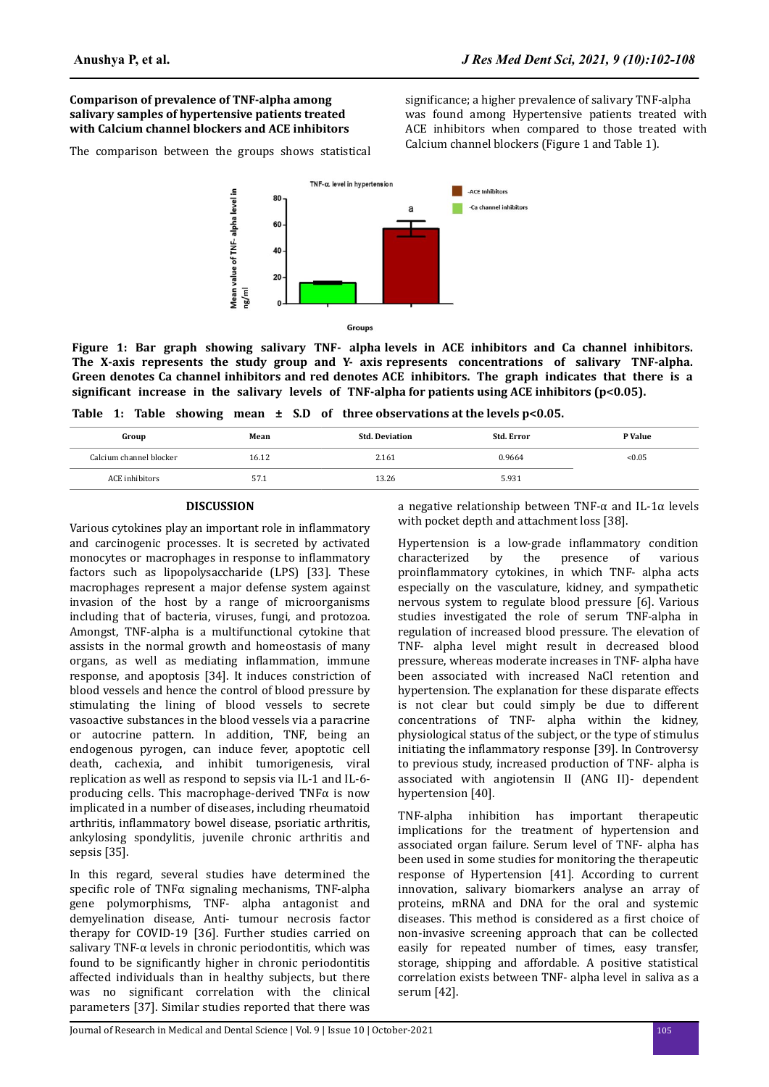## **Comparison of prevalence of TNF-alpha among salivary samples of hypertensive patients treated with Calcium channel blockers and ACE inhibitors**

The comparison between the groups shows statistical

significance; a higher prevalence of salivary TNF-alpha was found among Hypertensive patients treated with ACE inhibitors when compared to those treated with Calcium channel blockers (Figure 1 and Table 1).



**Figure 1: Bar graph showing salivary TNF- alpha levels in ACE inhibitors and Ca channel inhibitors. The X-axis represents the study group and Y- axis represents concentrations of salivary TNF-alpha. Green denotes Ca channel inhibitors and red denotes ACE inhibitors. The graph indicates that there is a** significant increase in the salivary levels of TNF-alpha for patients using ACE inhibitors (p<0.05).

|  |  |  |  |  |  |  |  | Table 1: Table showing mean $\pm$ S.D of three observations at the levels p<0.05. |
|--|--|--|--|--|--|--|--|-----------------------------------------------------------------------------------|
|--|--|--|--|--|--|--|--|-----------------------------------------------------------------------------------|

| Group                   | Mean  | <b>Std. Deviation</b> | Std. Error | P Value |
|-------------------------|-------|-----------------------|------------|---------|
| Calcium channel blocker | 16.12 | 2.161                 | 0.9664     | < 0.05  |
| ACE inhibitors          | 57.1  | 13.26                 | 5.931      |         |

## **DISCUSSION**

Various cytokines play an important role in inflammatory and carcinogenic processes. It is secreted by activated monocytes or macrophages in response to inflammatory factors such as lipopolysaccharide (LPS) [33]. These macrophages represent a major defense system against invasion of the host by a range of microorganisms including that of bacteria, viruses, fungi, and protozoa. Amongst, TNF-alpha is a multifunctional cytokine that assists in the normal growth and homeostasis of many organs, as well as mediating inflammation, immune response, and apoptosis [34]. It induces constriction of blood vessels and hence the control of blood pressure by stimulating the lining of blood vessels to secrete vasoactive substances in the blood vessels via a paracrine or autocrine pattern. In addition, TNF, being an endogenous pyrogen, can induce fever, apoptotic cell death, cachexia, and inhibit tumorigenesis, viral replication as well as respond to sepsis via IL-1 and IL-6 producing cells. This macrophage-derived  $TNF\alpha$  is now implicated in a number of diseases, including rheumatoid arthritis, inflammatory bowel disease, psoriatic arthritis, ankylosing spondylitis, juvenile chronic arthritis and sepsis [35].

In this regard, several studies have determined the specific role of TNF $\alpha$  signaling mechanisms, TNF-alpha gene polymorphisms, TNF- alpha antagonist and demyelination disease, Anti- tumour necrosis factor therapy for COVID-19 [36]. Further studies carried on salivary TNF-α levels in chronic periodontitis, which was found to be significantly higher in chronic periodontitis affected individuals than in healthy subjects, but there was no significant correlation with the clinical parameters [37]. Similar studies reported that there was

a negative relationship between TNF- $\alpha$  and IL-1 $\alpha$  levels with pocket depth and attachment loss [38].

Hypertension is a low-grade inflammatory condition characterized by the presence of various proinflammatory cytokines, in which TNF- alpha acts especially on the vasculature, kidney, and sympathetic nervous system to regulate blood pressure [6]. Various studies investigated the role of serum TNF-alpha in regulation of increased blood pressure. The elevation of TNF- alpha level might result in decreased blood pressure, whereas moderate increases in TNF- alpha have been associated with increased NaCl retention and hypertension. The explanation for these disparate effects is not clear but could simply be due to different concentrations of TNF- alpha within the kidney, physiological status of the subject, or the type of stimulus initiating the inflammatory response [39]. In Controversy to previous study, increased production of TNF- alpha is associated with angiotensin II (ANG II)- dependent hypertension [40].

TNF-alpha inhibition has important therapeutic implications for the treatment of hypertension and associated organ failure. Serum level of TNF- alpha has been used in some studies for monitoring the therapeutic response of Hypertension [41]. According to current innovation, salivary biomarkers analyse an array of proteins, mRNA and DNA for the oral and systemic diseases. This method is considered as a first choice of non-invasive screening approach that can be collected easily for repeated number of times, easy transfer, storage, shipping and affordable. A positive statistical correlation exists between TNF- alpha level in saliva as a serum [42].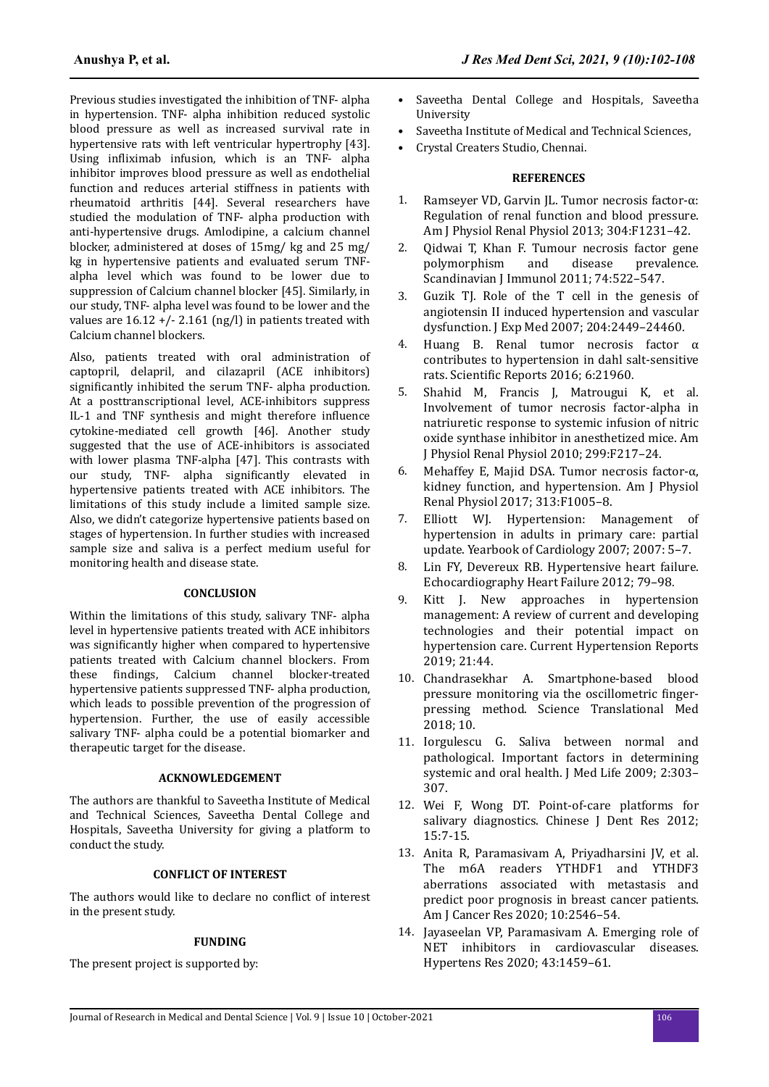Previous studies investigated the inhibition of TNF- alpha in hypertension. TNF- alpha inhibition reduced systolic blood pressure as well as increased survival rate in hypertensive rats with left ventricular hypertrophy [43]. Using infliximab infusion, which is an TNF- alpha inhibitor improves blood pressure as well as endothelial function and reduces arterial stiffness in patients with rheumatoid arthritis [44]. Several researchers have studied the modulation of TNF- alpha production with anti-hypertensive drugs. Amlodipine, a calcium channel blocker, administered at doses of 15mg/ kg and 25 mg/ kg in hypertensive patients and evaluated serum TNFalpha level which was found to be lower due to suppression of Calcium channel blocker [45]. Similarly, in our study, TNF- alpha level was found to be lower and the values are  $16.12 + (-2.161$  (ng/l) in patients treated with Calcium channel blockers.

Also, patients treated with oral administration of captopril, delapril, and cilazapril (ACE inhibitors) significantly inhibited the serum TNF- alpha production. At a posttranscriptional level, ACE-inhibitors suppress IL-1 and TNF synthesis and might therefore influence cytokine-mediated cell growth [46]. Another study suggested that the use of ACE-inhibitors is associated with lower plasma TNF-alpha [47]. This contrasts with our study. TNF- alpha significantly elevated in hypertensive patients treated with ACE inhibitors. The limitations of this study include a limited sample size. Also, we didn't categorize hypertensive patients based on stages of hypertension. In further studies with increased sample size and saliva is a perfect medium useful for monitoring health and disease state.

#### **CONCLUSION**

Within the limitations of this study, salivary TNF- alpha level in hypertensive patients treated with ACE inhibitors was significantly higher when compared to hypertensive patients treated with Calcium channel blockers. From these findings. Calcium channel blocker-treated hypertensive patients suppressed TNF- alpha production, which leads to possible prevention of the progression of hypertension. Further, the use of easily accessible salivary TNF- alpha could be a potential biomarker and therapeutic target for the disease.

#### **ACKNOWLEDGEMENT**

The authors are thankful to Saveetha Institute of Medical and Technical Sciences, Saveetha Dental College and Hospitals, Saveetha University for giving a platform to conduct the study.

#### **CONFLICT OF INTEREST**

The authors would like to declare no conflict of interest in the present study.

#### **FUNDING**

The present project is supported by:

- Saveetha Dental College and Hospitals, Saveetha University
- Saveetha Institute of Medical and Technical Sciences,
- Crystal Creaters Studio, Chennai.

### **REFERENCES**

- 1. [Ramseyer VD, Garvin JL. Tumor necrosis factor-α:](https://doi.org/10.1152/ajprenal.00557.2012) [Regulation of renal function and blood pressure.](https://doi.org/10.1152/ajprenal.00557.2012) [Am J Physiol Renal Physiol 2013; 304:F1231–42.](https://doi.org/10.1152/ajprenal.00557.2012)
- 2. [Qidwai T, Khan F. Tumour necrosis factor gene](https://doi.org/10.1111/j.1365-3083.2011.02602.x) [polymorphism and disease prevalence.](https://doi.org/10.1111/j.1365-3083.2011.02602.x) [Scandinavian J Immunol 2011; 74:522–547.](https://doi.org/10.1111/j.1365-3083.2011.02602.x)
- 3. [Guzik TJ. Role of the T cell in the genesis of](https://doi.org/10.1084/jem.20070657) [angiotensin II induced hypertension and vascular](https://doi.org/10.1084/jem.20070657) [dysfunction. J Exp Med 2007; 204:2449–24460.](https://doi.org/10.1084/jem.20070657)
- Huang B. Renal tumor necrosis factor  $\alpha$ [contributes to hypertension in dahl salt-sensitive](https://doi.org/10.1038/srep21960) rats. Scientific [Reports 2016; 6:21960](https://doi.org/10.1038/srep21960).
- 5. [Shahid M, Francis J, Matrougui K, et al.](https://doi.org/10.1152/ajprenal.00611.2009) [Involvement of tumor necrosis factor-alpha in](https://doi.org/10.1152/ajprenal.00611.2009) [natriuretic response to systemic infusion of nitric](https://doi.org/10.1152/ajprenal.00611.2009) [oxide synthase inhibitor in anesthetized mice. Am](https://doi.org/10.1152/ajprenal.00611.2009) [J Physiol Renal Physiol 2010; 299:F217–24.](https://doi.org/10.1152/ajprenal.00611.2009)
- 6. [Mehaffey E, Majid DSA. Tumor necrosis factor-α,](https://doi.org/10.1152/ajprenal.00535.2016) [kidney function, and hypertension. Am J Physiol](https://doi.org/10.1152/ajprenal.00535.2016) [Renal Physiol 2017; 313:F1005–8.](https://doi.org/10.1152/ajprenal.00535.2016)
- 7. [Elliott WJ. Hypertension: Management of](https://dx.doi.org/10.3399%2Fbjgp12X630232) [hypertension in adults in primary care: partial](https://dx.doi.org/10.3399%2Fbjgp12X630232) [update. Yearbook of Cardiology 2007; 2007: 5–7.](https://dx.doi.org/10.3399%2Fbjgp12X630232)
- 8. [Lin FY, Devereux RB. Hypertensive heart failure.](https://dx.doi.org/10.1586%2Ferc.10.190) [Echocardiography Heart Failure 2012; 79–98](https://dx.doi.org/10.1586%2Ferc.10.190).
- 9. [Kitt J. New approaches in hypertension](https://doi.org/10.1007/s11906-019-0949-4) [management: A review of current and developing](https://doi.org/10.1007/s11906-019-0949-4) [technologies and their potential impact on](https://doi.org/10.1007/s11906-019-0949-4) [hypertension care. Current Hypertension Reports](https://doi.org/10.1007/s11906-019-0949-4) [2019; 21:44.](https://doi.org/10.1007/s11906-019-0949-4)
- 10. [Chandrasekhar A. Smartphone-based blood](https://doi.org/10.1126/scitranslmed.aap8674) [pressure monitoring via the oscillometric](https://doi.org/10.1126/scitranslmed.aap8674) fingerpressing [method. Science Translational Med](https://doi.org/10.1126/scitranslmed.aap8674) [2018; 10.](https://doi.org/10.1126/scitranslmed.aap8674)
- 11. [Iorgulescu G. Saliva between normal and](https://doi.org/10.25100/cm.v49i3.3919) [pathological. Important factors in determining](https://doi.org/10.25100/cm.v49i3.3919) [systemic and oral health. J Med Life 2009; 2:303–](https://doi.org/10.25100/cm.v49i3.3919) [307.](https://doi.org/10.25100/cm.v49i3.3919)
- 12. [Wei F, Wong DT. Point-of-care platforms for](https://dx.doi.org/10.4103%2Fejd.ejd_376_17) [salivary diagnostics. Chinese J Dent Res 2012;](https://dx.doi.org/10.4103%2Fejd.ejd_376_17) [15:7-15.](https://dx.doi.org/10.4103%2Fejd.ejd_376_17)
- 13. [Anita R, Paramasivam A, Priyadharsini JV, et al.](https://doi.org/10.1016/j.biopha.2019.108613) [The m6A readers YTHDF1 and YTHDF3](https://doi.org/10.1016/j.biopha.2019.108613) [aberrations associated with metastasis and](https://doi.org/10.1016/j.biopha.2019.108613) [predict poor prognosis in breast cancer patients.](https://doi.org/10.1016/j.biopha.2019.108613) [Am J Cancer Res 2020; 10:2546–54](https://doi.org/10.1016/j.biopha.2019.108613).
- 14. [Jayaseelan VP, Paramasivam A. Emerging role of](https://doi.org/10.1038/s41440-020-0527-9) [NET inhibitors in cardiovascular diseases.](https://doi.org/10.1038/s41440-020-0527-9) [Hypertens Res 2020; 43:1459–61.](https://doi.org/10.1038/s41440-020-0527-9)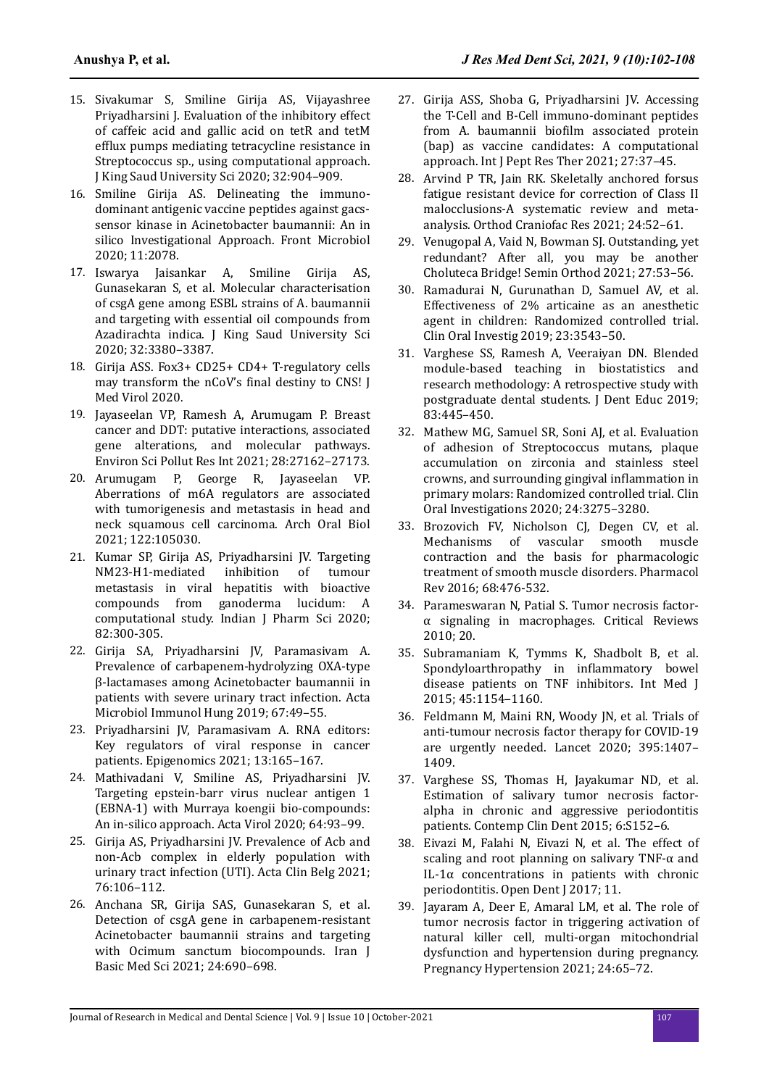- 15. [Sivakumar S, Smiline Girija AS, Vijayashree](https://doi.org/10.1016/j.cimid.2018.03.001) [Priyadharsini J. Evaluation of the inhibitory effect](https://doi.org/10.1016/j.cimid.2018.03.001) [of caffeic acid and gallic acid on tetR and tetM](https://doi.org/10.1016/j.cimid.2018.03.001) efflux [pumps mediating tetracycline resistance in](https://doi.org/10.1016/j.cimid.2018.03.001) [Streptococcus sp., using computational approach.](https://doi.org/10.1016/j.cimid.2018.03.001) [J King Saud University Sci 2020; 32:904–909.](https://doi.org/10.1016/j.cimid.2018.03.001)
- 16. [Smiline Girija AS. Delineating the immuno](https://doi.org/10.3389/fmicb.2020.02078)[dominant antigenic vaccine peptides against gacs](https://doi.org/10.3389/fmicb.2020.02078)[sensor kinase in Acinetobacter baumannii: An in](https://doi.org/10.3389/fmicb.2020.02078) [silico Investigational Approach. Front Microbiol](https://doi.org/10.3389/fmicb.2020.02078) [2020; 11:2078.](https://doi.org/10.3389/fmicb.2020.02078)
- 17. [Iswarya Jaisankar A, Smiline Girija AS,](http://dx.doi.org/10.1016/j.jksus.2020.09.025) [Gunasekaran S, et al. Molecular characterisation](http://dx.doi.org/10.1016/j.jksus.2020.09.025) [of csgA gene among ESBL strains of A. baumannii](http://dx.doi.org/10.1016/j.jksus.2020.09.025) [and targeting with essential oil compounds from](http://dx.doi.org/10.1016/j.jksus.2020.09.025) [Azadirachta indica. J King Saud University Sci](http://dx.doi.org/10.1016/j.jksus.2020.09.025) [2020; 32:3380–3387.](http://dx.doi.org/10.1016/j.jksus.2020.09.025)
- 18. [Girija ASS. Fox3+ CD25+ CD4+ T-regulatory cells](https://dx.doi.org/10.1159%2F000355303) [may transform the nCoV's](https://dx.doi.org/10.1159%2F000355303) final destiny to CNS! J [Med Virol 2020](https://dx.doi.org/10.1159%2F000355303).
- 19. [Jayaseelan VP, Ramesh A, Arumugam P. Breast](https://doi.org/10.1007/s11356-021-12489-6) [cancer and DDT: putative interactions, associated](https://doi.org/10.1007/s11356-021-12489-6) [gene alterations, and molecular pathways.](https://doi.org/10.1007/s11356-021-12489-6) [Environ Sci Pollut Res Int 2021; 28:27162–27173.](https://doi.org/10.1007/s11356-021-12489-6)
- 20. [Arumugam P, George R, Jayaseelan VP.](https://doi.org/10.1016/j.archoralbio.2020.105030) [Aberrations of m6A regulators are associated](https://doi.org/10.1016/j.archoralbio.2020.105030) [with tumorigenesis and metastasis in head and](https://doi.org/10.1016/j.archoralbio.2020.105030) [neck squamous cell carcinoma. Arch Oral Biol](https://doi.org/10.1016/j.archoralbio.2020.105030) [2021; 122:105030.](https://doi.org/10.1016/j.archoralbio.2020.105030)
- 21. [Kumar SP, Girija AS, Priyadharsini JV. Targeting](https://doi.org/10.1038/cgt.2008.97) [NM23-H1-mediated inhibition of tumour](https://doi.org/10.1038/cgt.2008.97) [metastasis in viral hepatitis with bioactive](https://doi.org/10.1038/cgt.2008.97) [compounds from ganoderma lucidum: A](https://doi.org/10.1038/cgt.2008.97) [computational study. Indian J Pharm Sci 2020;](https://doi.org/10.1038/cgt.2008.97) [82:300-305.](https://doi.org/10.1038/cgt.2008.97)
- 22. [Girija SA, Priyadharsini JV, Paramasivam A.](https://doi.org/10.1556/030.66.2019.030) [Prevalence of carbapenem-hydrolyzing OXA-type](https://doi.org/10.1556/030.66.2019.030) [β-lactamases among Acinetobacter baumannii in](https://doi.org/10.1556/030.66.2019.030) [patients with severe urinary tract infection. Acta](https://doi.org/10.1556/030.66.2019.030) [Microbiol Immunol Hung 2019; 67:49–55](https://doi.org/10.1556/030.66.2019.030).
- 23. [Priyadharsini JV, Paramasivam A. RNA editors:](https://doi.org/10.2217/epi-2021-0001) [Key regulators of viral response in cancer](https://doi.org/10.2217/epi-2021-0001) [patients. Epigenomics 2021; 13:165–167.](https://doi.org/10.2217/epi-2021-0001)
- 24. [Mathivadani V, Smiline AS, Priyadharsini JV.](https://doi.org/10.4149/av_2020_111) [Targeting epstein-barr virus nuclear antigen 1](https://doi.org/10.4149/av_2020_111) [\(EBNA-1\) with Murraya koengii bio-compounds:](https://doi.org/10.4149/av_2020_111) [An in-silico approach. Acta Virol 2020; 64:93–99.](https://doi.org/10.4149/av_2020_111)
- 25. [Girija AS, Priyadharsini JV. Prevalence of Acb and](https://doi.org/10.1080/17843286.2019.1669274) [non-Acb complex in elderly population with](https://doi.org/10.1080/17843286.2019.1669274) [urinary tract infection \(UTI\). Acta Clin Belg 2021;](https://doi.org/10.1080/17843286.2019.1669274) [76:106–112](https://doi.org/10.1080/17843286.2019.1669274).
- 26. [Anchana SR, Girija SAS, Gunasekaran S, et al.](https://doi.org/10.22038/ijbms.2021.52852.11917) [Detection of csgA gene in carbapenem-resistant](https://doi.org/10.22038/ijbms.2021.52852.11917) [Acinetobacter baumannii strains and targeting](https://doi.org/10.22038/ijbms.2021.52852.11917) [with Ocimum sanctum biocompounds. Iran J](https://doi.org/10.22038/ijbms.2021.52852.11917) [Basic Med Sci 2021; 24:690–698.](https://doi.org/10.22038/ijbms.2021.52852.11917)
- 27. [Girija ASS, Shoba G, Priyadharsini JV. Accessing](http://dx.doi.org/10.3389/fmicb.2020.02078) [the T-Cell and B-Cell immuno-dominant peptides](http://dx.doi.org/10.3389/fmicb.2020.02078) [from A. baumannii](http://dx.doi.org/10.3389/fmicb.2020.02078) biofilm associated protein [\(bap\) as vaccine candidates: A computational](http://dx.doi.org/10.3389/fmicb.2020.02078) [approach. Int J Pept Res Ther 2021; 27:37–45.](http://dx.doi.org/10.3389/fmicb.2020.02078)
- 28. [Arvind P TR, Jain RK. Skeletally anchored forsus](https://doi.org/10.1111/ocr.12414) [fatigue resistant device for correction of Class II](https://doi.org/10.1111/ocr.12414) [malocclusions-A systematic review and meta](https://doi.org/10.1111/ocr.12414)[analysis. Orthod Craniofac Res 2021; 24:52–61.](https://doi.org/10.1111/ocr.12414)
- 29. [Venugopal A, Vaid N, Bowman SJ. Outstanding, yet](http://dx.doi.org/10.1016/j.ajodo.2020.07.037) [redundant? After all, you may be another](http://dx.doi.org/10.1016/j.ajodo.2020.07.037) [Choluteca Bridge! Semin Orthod 2021; 27:53–56.](http://dx.doi.org/10.1016/j.ajodo.2020.07.037)
- 30. [Ramadurai N, Gurunathan D, Samuel AV, et al.](https://doi.org/10.1007/s00784-018-2775-5) [Effectiveness of 2% articaine as an anesthetic](https://doi.org/10.1007/s00784-018-2775-5) [agent in children: Randomized controlled trial.](https://doi.org/10.1007/s00784-018-2775-5) [Clin Oral Investig 2019; 23:3543–50.](https://doi.org/10.1007/s00784-018-2775-5)
- 31. [Varghese SS, Ramesh A, Veeraiyan DN. Blended](https://doi.org/10.21815/jde.019.054) [module-based teaching in biostatistics and](https://doi.org/10.21815/jde.019.054) [research methodology: A retrospective study with](https://doi.org/10.21815/jde.019.054) [postgraduate dental students. J Dent Educ 2019;](https://doi.org/10.21815/jde.019.054) [83:445–450.](https://doi.org/10.21815/jde.019.054)
- 32. [Mathew MG, Samuel SR, Soni AJ, et al. Evaluation](https://doi.org/10.1007/s00784-020-03204-9) [of adhesion of Streptococcus mutans, plaque](https://doi.org/10.1007/s00784-020-03204-9) [accumulation on zirconia and stainless steel](https://doi.org/10.1007/s00784-020-03204-9) [crowns, and surrounding gingival](https://doi.org/10.1007/s00784-020-03204-9) inflammation in [primary molars: Randomized controlled trial. Clin](https://doi.org/10.1007/s00784-020-03204-9) [Oral Investigations 2020; 24:3275–3280.](https://doi.org/10.1007/s00784-020-03204-9)
- 33. [Brozovich FV, Nicholson CJ, Degen CV, et al.](https://dx.doi.org/10.1124%2Fpr.115.010652) [Mechanisms of vascular smooth muscle](https://dx.doi.org/10.1124%2Fpr.115.010652) [contraction and the basis for pharmacologic](https://dx.doi.org/10.1124%2Fpr.115.010652) [treatment of smooth muscle disorders. Pharmacol](https://dx.doi.org/10.1124%2Fpr.115.010652) [Rev 2016; 68:476-532.](https://dx.doi.org/10.1124%2Fpr.115.010652)
- 34. [Parameswaran N, Patial S. Tumor necrosis factor](https://doi.org/10.1615/critreveukargeneexpr.v20.i2.10)[α signaling in macrophages. Critical Reviews](https://doi.org/10.1615/critreveukargeneexpr.v20.i2.10) [2010; 20.](https://doi.org/10.1615/critreveukargeneexpr.v20.i2.10)
- 35. [Subramaniam K, Tymms K, Shadbolt B, et al.](https://doi.org/10.1111/imj.12891) [Spondyloarthropathy in](https://doi.org/10.1111/imj.12891) inflammatory bowel [disease patients on TNF inhibitors. Int Med J](https://doi.org/10.1111/imj.12891) [2015; 45:1154–1160.](https://doi.org/10.1111/imj.12891)
- 36. [Feldmann M, Maini RN, Woody JN, et al. Trials of](https://doi.org/10.1016/s0140-6736(20)30858-8) [anti-tumour necrosis factor therapy for COVID-19](https://doi.org/10.1016/s0140-6736(20)30858-8) [are urgently needed. Lancet 2020; 395:1407–](https://doi.org/10.1016/s0140-6736(20)30858-8) [1409.](https://doi.org/10.1016/s0140-6736(20)30858-8)
- 37. [Varghese SS, Thomas H, Jayakumar ND, et al.](https://doi.org/10.4103/0976-237x.166816) [Estimation of salivary tumor necrosis factor](https://doi.org/10.4103/0976-237x.166816)[alpha in chronic and aggressive periodontitis](https://doi.org/10.4103/0976-237x.166816) [patients. Contemp Clin Dent 2015; 6:S152–6.](https://doi.org/10.4103/0976-237x.166816)
- 38. [Eivazi M, Falahi N, Eivazi N, et al. The effect of](https://dx.doi.org/10.2174%2F1874210601711010573) [scaling and root planning on salivary TNF-α and](https://dx.doi.org/10.2174%2F1874210601711010573) [IL-1α concentrations in patients with chronic](https://dx.doi.org/10.2174%2F1874210601711010573) [periodontitis. Open Dent J 2017; 11.](https://dx.doi.org/10.2174%2F1874210601711010573)
- 39. [Jayaram A, Deer E, Amaral LM, et al. The role of](https://doi.org/10.1016/j.preghy.2021.02.006) [tumor necrosis factor in triggering activation of](https://doi.org/10.1016/j.preghy.2021.02.006) [natural killer cell, multi-organ mitochondrial](https://doi.org/10.1016/j.preghy.2021.02.006) [dysfunction and hypertension during pregnancy.](https://doi.org/10.1016/j.preghy.2021.02.006) [Pregnancy Hypertension 2021; 24:65–72.](https://doi.org/10.1016/j.preghy.2021.02.006)